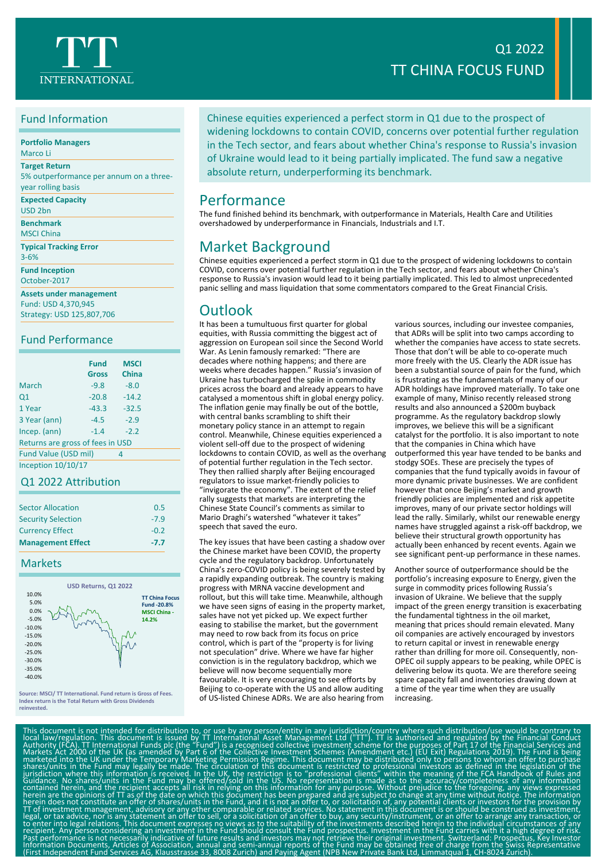## Fund Information

| <b>Portfolio Managers</b> |  |  |
|---------------------------|--|--|
|                           |  |  |

Marco Li **Target Return**

5% outperformance per annum on a threeyear rolling basis

**Expected Capacity**

USD 2bn

**Benchmark** MSCI China

**Typical Tracking Error** 3-6%

**Fund Inception**

October-2017

**Assets under management**

Fund: USD 4,370,945 Strategy: USD 125,807,706

## Fund Performance

|                                  | <b>Fund</b><br><b>Gross</b> | <b>MSCI</b><br><b>China</b> |  |  |
|----------------------------------|-----------------------------|-----------------------------|--|--|
| March                            | $-9.8$                      | $-8.0$                      |  |  |
| Q1                               | $-20.8$                     | $-14.2$                     |  |  |
| 1 Year                           | $-43.3$                     | $-32.5$                     |  |  |
| 3 Year (ann)                     | $-4.5$                      | $-2.9$                      |  |  |
| Incep. (ann)                     | $-1.4$                      | $-2.2$                      |  |  |
| Returns are gross of fees in USD |                             |                             |  |  |
| Fund Value (USD mil)             |                             | 4                           |  |  |

Inception 10/10/17

### Q1 2022 Attribution

| <b>Sector Allocation</b>  | 0.5    |
|---------------------------|--------|
| <b>Security Selection</b> | $-7.9$ |
| <b>Currency Effect</b>    | $-0.2$ |
| <b>Management Effect</b>  | $-7.7$ |

### Markets



**Source: MSCI/ TT International. Fund return is Gross of Fees. Index return is the Total Return with Gross Dividends reinvested.**

Chinese equities experienced a perfect storm in Q1 due to the prospect of

widening lockdowns to contain COVID, concerns over potential further regulation in the Tech sector, and fears about whether China's response to Russia's invasion of Ukraine would lead to it being partially implicated. The fund saw a negative absolute return, underperforming its benchmark.

## Performance

The fund finished behind its benchmark, with outperformance in Materials, Health Care and Utilities overshadowed by underperformance in Financials, Industrials and I.T.

## Market Background

Chinese equities experienced a perfect storm in Q1 due to the prospect of widening lockdowns to contain COVID, concerns over potential further regulation in the Tech sector, and fears about whether China's response to Russia's invasion would lead to it being partially implicated. This led to almost unprecedented panic selling and mass liquidation that some commentators compared to the Great Financial Crisis.

## **Outlook**

It has been a tumultuous first quarter for global equities, with Russia committing the biggest act of aggression on European soil since the Second World War. As Lenin famously remarked: "There are decades where nothing happens; and there are weeks where decades happen." Russia's invasion of Ukraine has turbocharged the spike in commodity prices across the board and already appears to have catalysed a momentous shift in global energy policy. The inflation genie may finally be out of the bottle, with central banks scrambling to shift their monetary policy stance in an attempt to regain control. Meanwhile, Chinese equities experienced a violent sell-off due to the prospect of widening lockdowns to contain COVID, as well as the overhang of potential further regulation in the Tech sector. They then rallied sharply after Beijing encouraged regulators to issue market-friendly policies to "invigorate the economy". The extent of the relief rally suggests that markets are interpreting the Chinese State Council's comments as similar to Mario Draghi's watershed "whatever it takes" speech that saved the euro.

The key issues that have been casting a shadow over the Chinese market have been COVID, the property cycle and the regulatory backdrop. Unfortunately China's zero-COVID policy is being severely tested by a rapidly expanding outbreak. The country is making progress with MRNA vaccine development and rollout, but this will take time. Meanwhile, although we have seen signs of easing in the property market, sales have not yet picked up. We expect further easing to stabilise the market, but the government may need to row back from its focus on price control, which is part of the "property is for living not speculation" drive. Where we have far higher conviction is in the regulatory backdrop, which we believe will now become sequentially more favourable. It is very encouraging to see efforts by Beijing to co-operate with the US and allow auditing of US-listed Chinese ADRs. We are also hearing from

various sources, including our investee companies, that ADRs will be split into two camps according to whether the companies have access to state secrets. Those that don't will be able to co-operate much more freely with the US. Clearly the ADR issue has been a substantial source of pain for the fund, which is frustrating as the fundamentals of many of our ADR holdings have improved materially. To take one example of many, Miniso recently released strong results and also announced a \$200m buyback programme. As the regulatory backdrop slowly improves, we believe this will be a significant catalyst for the portfolio. It is also important to note that the companies in China which have outperformed this year have tended to be banks and stodgy SOEs. These are precisely the types of companies that the fund typically avoids in favour of more dynamic private businesses. We are confident however that once Beijing's market and growth friendly policies are implemented and risk appetite improves, many of our private sector holdings will lead the rally. Similarly, whilst our renewable energy names have struggled against a risk-off backdrop, we believe their structural growth opportunity has actually been enhanced by recent events. Again we see significant pent-up performance in these names.

Another source of outperformance should be the portfolio's increasing exposure to Energy, given the surge in commodity prices following Russia's invasion of Ukraine. We believe that the supply impact of the green energy transition is exacerbating the fundamental tightness in the oil market, meaning that prices should remain elevated. Many oil companies are actively encouraged by investors to return capital or invest in renewable energy rather than drilling for more oil. Consequently, non-OPEC oil supply appears to be peaking, while OPEC is delivering below its quota. We are therefore seeing spare capacity fall and inventories drawing down at a time of the year time when they are usually increasing.

This document is not intended for distibution to, or use by any person/entity in any jurisdiction/country where such distribution (backward) that a contrary to locate a contary to the Collective intendibal Formational Fund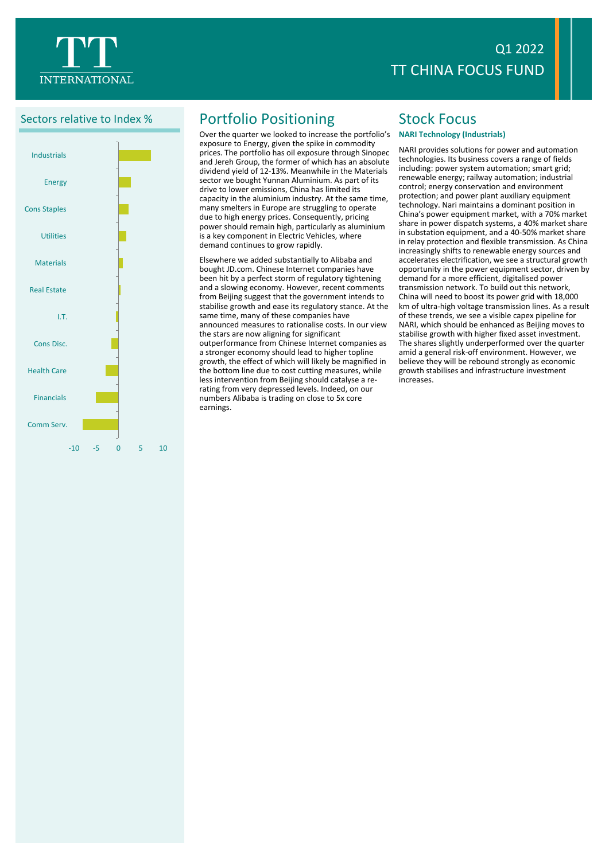



# Sectors relative to Index % Portfolio Positioning

Over the quarter we looked to increase the portfolio's exposure to Energy, given the spike in commodity prices. The portfolio has oil exposure through Sinopec and Jereh Group, the former of which has an absolute dividend yield of 12-13%. Meanwhile in the Materials sector we bought Yunnan Aluminium. As part of its drive to lower emissions, China has limited its capacity in the aluminium industry. At the same time, many smelters in Europe are struggling to operate due to high energy prices. Consequently, pricing power should remain high, particularly as aluminium is a key component in Electric Vehicles, where demand continues to grow rapidly.

Elsewhere we added substantially to Alibaba and bought JD.com. Chinese Internet companies have been hit by a perfect storm of regulatory tightening and a slowing economy. However, recent comments from Beijing suggest that the government intends to stabilise growth and ease its regulatory stance. At the same time, many of these companies have announced measures to rationalise costs. In our view the stars are now aligning for significant outperformance from Chinese Internet companies as a stronger economy should lead to higher topline growth, the effect of which will likely be magnified in the bottom line due to cost cutting measures, while less intervention from Beijing should catalyse a rerating from very depressed levels. Indeed, on our numbers Alibaba is trading on close to 5x core earnings.

# Stock Focus

### **NARI Technology (Industrials)**

NARI provides solutions for power and automation technologies. Its business covers a range of fields including: power system automation; smart grid; renewable energy; railway automation; industrial control; energy conservation and environment protection; and power plant auxiliary equipment technology. Nari maintains a dominant position in China's power equipment market, with a 70% market share in power dispatch systems, a 40% market share in substation equipment, and a 40-50% market share in relay protection and flexible transmission. As China increasingly shifts to renewable energy sources and accelerates electrification, we see a structural growth opportunity in the power equipment sector, driven by demand for a more efficient, digitalised power transmission network. To build out this network, China will need to boost its power grid with 18,000 km of ultra-high voltage transmission lines. As a result of these trends, we see a visible capex pipeline for NARI, which should be enhanced as Beijing moves to stabilise growth with higher fixed asset investment. The shares slightly underperformed over the quarter amid a general risk-off environment. However, we believe they will be rebound strongly as economic growth stabilises and infrastructure investment increases.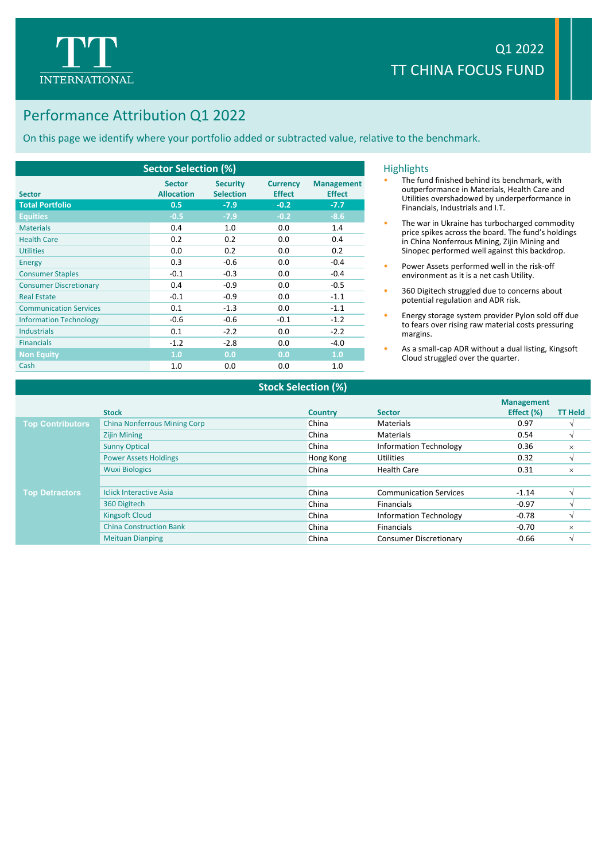

# Performance Attribution Q1 2022

On this page we identify where your portfolio added or subtracted value, relative to the benchmark.

| <b>Sector Selection (%)</b>   |                                    |                                     |                                  |                                    |  |
|-------------------------------|------------------------------------|-------------------------------------|----------------------------------|------------------------------------|--|
| <b>Sector</b>                 | <b>Sector</b><br><b>Allocation</b> | <b>Security</b><br><b>Selection</b> | <b>Currency</b><br><b>Effect</b> | <b>Management</b><br><b>Effect</b> |  |
| <b>Total Portfolio</b>        | 0.5                                | $-7.9$                              | $-0.2$                           | $-7.7$                             |  |
| <b>Equities</b>               | $-0.5$                             | $-7.9$                              | $-0.2$                           | $-8.6$                             |  |
| <b>Materials</b>              | 0.4                                | 1.0                                 | 0.0                              | 1.4                                |  |
| <b>Health Care</b>            | 0.2                                | 0.2                                 | 0.0                              | 0.4                                |  |
| <b>Utilities</b>              | 0.0                                | 0.2                                 | 0.0                              | 0.2                                |  |
| <b>Energy</b>                 | 0.3                                | $-0.6$                              | 0.0                              | $-0.4$                             |  |
| <b>Consumer Staples</b>       | $-0.1$                             | $-0.3$                              | 0.0                              | $-0.4$                             |  |
| <b>Consumer Discretionary</b> | 0.4                                | $-0.9$                              | 0.0                              | $-0.5$                             |  |
| <b>Real Estate</b>            | $-0.1$                             | $-0.9$                              | 0.0                              | $-1.1$                             |  |
| <b>Communication Services</b> | 0.1                                | $-1.3$                              | 0.0                              | $-1.1$                             |  |
| <b>Information Technology</b> | $-0.6$                             | $-0.6$                              | $-0.1$                           | $-1.2$                             |  |
| <b>Industrials</b>            | 0.1                                | $-2.2$                              | 0.0                              | $-2.2$                             |  |
| <b>Financials</b>             | $-1.2$                             | $-2.8$                              | 0.0                              | $-4.0$                             |  |
| <b>Non Equity</b>             | 1.0                                | 0.0                                 | 0.0                              | 1.0                                |  |
| Cash                          | 1.0                                | 0.0                                 | 0.0                              | 1.0                                |  |

### **Highlights**

- The fund finished behind its benchmark, with outperformance in Materials, Health Care and Utilities overshadowed by underperformance in Financials, Industrials and I.T.
- The war in Ukraine has turbocharged commodity price spikes across the board. The fund's holdings in China Nonferrous Mining, Zijin Mining and Sinopec performed well against this backdrop.
- Power Assets performed well in the risk-off environment as it is a net cash Utility.
- 360 Digitech struggled due to concerns about potential regulation and ADR risk.
- Energy storage system provider Pylon sold off due to fears over rising raw material costs pressuring margins.
- As a small-cap ADR without a dual listing, Kingsoft Cloud struggled over the quarter.

|                         | <b>Stock</b>                        | <b>Country</b> | <b>Sector</b>                 | <b>Management</b><br>Effect (%) | <b>TT Held</b> |
|-------------------------|-------------------------------------|----------------|-------------------------------|---------------------------------|----------------|
| <b>Top Contributors</b> | <b>China Nonferrous Mining Corp</b> | China          | Materials                     | 0.97                            |                |
|                         | <b>Zijin Mining</b>                 | China          | Materials                     | 0.54                            |                |
|                         | <b>Sunny Optical</b>                | China          | <b>Information Technology</b> | 0.36                            | $\times$       |
|                         | <b>Power Assets Holdings</b>        | Hong Kong      | Utilities                     | 0.32                            |                |
|                         | <b>Wuxi Biologics</b>               | China          | <b>Health Care</b>            | 0.31                            | ×              |
|                         |                                     |                |                               |                                 |                |
| <b>Top Detractors</b>   | <b>Iclick Interactive Asia</b>      | China          | <b>Communication Services</b> | $-1.14$                         |                |
|                         | 360 Digitech                        | China          | <b>Financials</b>             | $-0.97$                         |                |
|                         | <b>Kingsoft Cloud</b>               | China          | <b>Information Technology</b> | $-0.78$                         |                |
|                         | <b>China Construction Bank</b>      | China          | Financials                    | $-0.70$                         | $\times$       |
|                         | <b>Meituan Dianping</b>             | China          | <b>Consumer Discretionary</b> | $-0.66$                         |                |

**Stock Selection (%)**